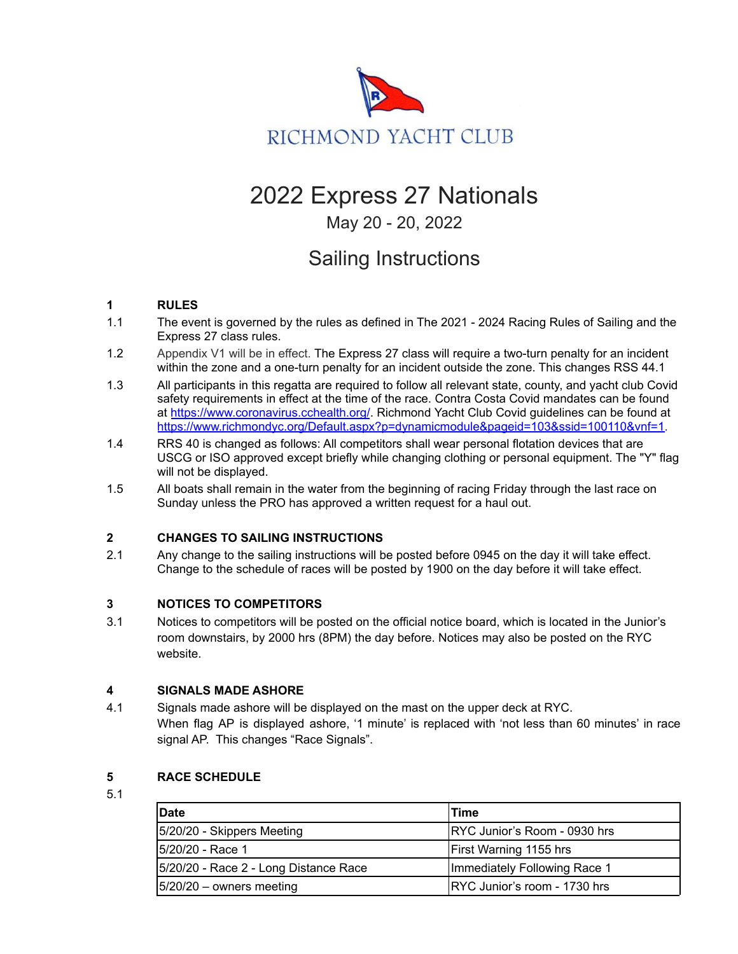

# 2022 Express 27 Nationals

# May 20 - 20, 2022

# Sailing Instructions

# **1 RULES**

- 1.1 The event is governed by the rules as defined in The 2021 2024 Racing Rules of Sailing and the Express 27 class rules.
- 1.2 Appendix V1 will be in effect. The Express 27 class will require a two-turn penalty for an incident within the zone and a one-turn penalty for an incident outside the zone. This changes RSS 44.1
- 1.3 All participants in this regatta are required to follow all relevant state, county, and yacht club Covid safety requirements in effect at the time of the race. Contra Costa Covid mandates can be found at <https://www.coronavirus.cchealth.org/>. Richmond Yacht Club Covid guidelines can be found at https://www.richmondyc.org/Default.aspx?p=dynamicmodule&pageid=103&ssid=100110&vnf=1.
- 1.4 RRS 40 is changed as follows: All competitors shall wear personal flotation devices that are USCG or ISO approved except briefly while changing clothing or personal equipment. The "Y" flag will not be displayed.
- 1.5 All boats shall remain in the water from the beginning of racing Friday through the last race on Sunday unless the PRO has approved a written request for a haul out.

# **2 CHANGES TO SAILING INSTRUCTIONS**

2.1 Any change to the sailing instructions will be posted before 0945 on the day it will take effect. Change to the schedule of races will be posted by 1900 on the day before it will take effect.

# **3 NOTICES TO COMPETITORS**

3.1 Notices to competitors will be posted on the official notice board, which is located in the Junior's room downstairs, by 2000 hrs (8PM) the day before. Notices may also be posted on the RYC website.

# **4 SIGNALS MADE ASHORE**

4.1 Signals made ashore will be displayed on the mast on the upper deck at RYC. When flag AP is displayed ashore, '1 minute' is replaced with 'not less than 60 minutes' in race signal AP. This changes "Race Signals".

# **5 RACE SCHEDULE**

5.1

| <b>IDate</b>                            | lTime                                |
|-----------------------------------------|--------------------------------------|
| [5/20/20 - Skippers Meeting]            | IRYC Junior's Room - 0930 hrs        |
| 15/20/20 - Race 1                       | <b>First Warning 1155 hrs</b>        |
| [5/20/20 - Race 2 - Long Distance Race] | Immediately Following Race 1         |
| $ 5/20/20 -$ owners meeting             | <b>IRYC Junior's room - 1730 hrs</b> |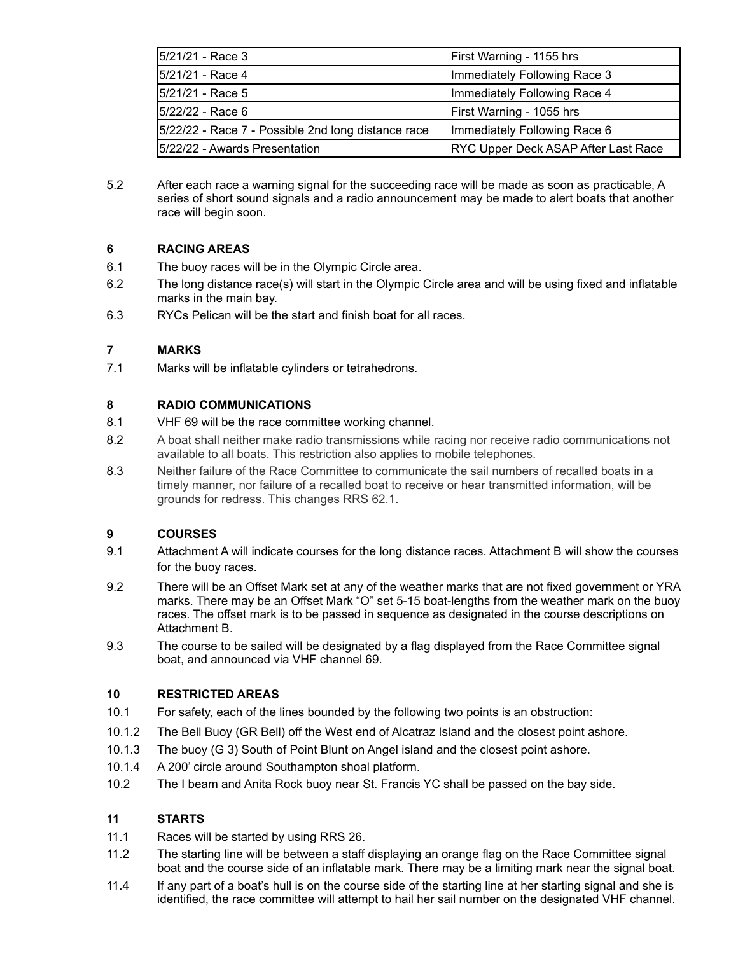| 5/21/21 - Race 3                                    | First Warning - 1155 hrs            |
|-----------------------------------------------------|-------------------------------------|
| 15/21/21 - Race 4                                   | Immediately Following Race 3        |
| 15/21/21 - Race 5                                   | Immediately Following Race 4        |
| 5/22/22 - Race 6                                    | First Warning - 1055 hrs            |
| [5/22/22 - Race 7 - Possible 2nd long distance race | Immediately Following Race 6        |
| 5/22/22 - Awards Presentation                       | RYC Upper Deck ASAP After Last Race |

5.2 After each race a warning signal for the succeeding race will be made as soon as practicable, A series of short sound signals and a radio announcement may be made to alert boats that another race will begin soon.

# **6 RACING AREAS**

- 6.1 The buoy races will be in the Olympic Circle area.
- 6.2 The long distance race(s) will start in the Olympic Circle area and will be using fixed and inflatable marks in the main bay.
- 6.3 RYCs Pelican will be the start and finish boat for all races.

# **7 MARKS**

7.1 Marks will be inflatable cylinders or tetrahedrons.

### **8 RADIO COMMUNICATIONS**

- 8.1 VHF 69 will be the race committee working channel.
- 8.2 A boat shall neither make radio transmissions while racing nor receive radio communications not available to all boats. This restriction also applies to mobile telephones.
- 8.3 Neither failure of the Race Committee to communicate the sail numbers of recalled boats in a timely manner, nor failure of a recalled boat to receive or hear transmitted information, will be grounds for redress. This changes RRS 62.1.

# **9 COURSES**

- 9.1 Attachment A will indicate courses for the long distance races. Attachment B will show the courses for the buoy races.
- 9.2 There will be an Offset Mark set at any of the weather marks that are not fixed government or YRA marks. There may be an Offset Mark "O" set 5-15 boat-lengths from the weather mark on the buoy races. The offset mark is to be passed in sequence as designated in the course descriptions on Attachment B.
- 9.3 The course to be sailed will be designated by a flag displayed from the Race Committee signal boat, and announced via VHF channel 69.

# **10 RESTRICTED AREAS**

- 10.1 For safety, each of the lines bounded by the following two points is an obstruction:
- 10.1.2 The Bell Buoy (GR Bell) off the West end of Alcatraz Island and the closest point ashore.
- 10.1.3 The buoy (G 3) South of Point Blunt on Angel island and the closest point ashore.
- 10.1.4 A 200' circle around Southampton shoal platform.
- 10.2 The I beam and Anita Rock buoy near St. Francis YC shall be passed on the bay side.

# **11 STARTS**

- 11.1 Races will be started by using RRS 26.
- 11.2 The starting line will be between a staff displaying an orange flag on the Race Committee signal boat and the course side of an inflatable mark. There may be a limiting mark near the signal boat.
- 11.4 If any part of a boat's hull is on the course side of the starting line at her starting signal and she is identified, the race committee will attempt to hail her sail number on the designated VHF channel.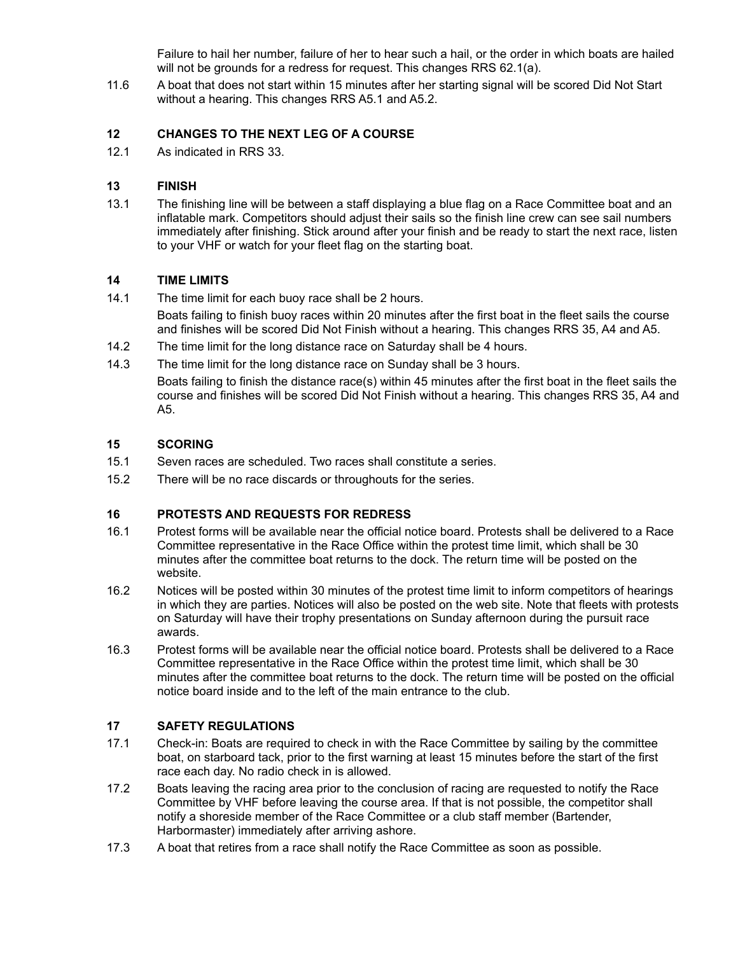Failure to hail her number, failure of her to hear such a hail, or the order in which boats are hailed will not be grounds for a redress for request. This changes RRS 62.1(a).

11.6 A boat that does not start within 15 minutes after her starting signal will be scored Did Not Start without a hearing. This changes RRS A5.1 and A5.2.

#### **12 CHANGES TO THE NEXT LEG OF A COURSE**

12.1 As indicated in RRS 33.

#### **13 FINISH**

13.1 The finishing line will be between a staff displaying a blue flag on a Race Committee boat and an inflatable mark. Competitors should adjust their sails so the finish line crew can see sail numbers immediately after finishing. Stick around after your finish and be ready to start the next race, listen to your VHF or watch for your fleet flag on the starting boat.

#### **14 TIME LIMITS**

14.1 The time limit for each buoy race shall be 2 hours.

Boats failing to finish buoy races within 20 minutes after the first boat in the fleet sails the course and finishes will be scored Did Not Finish without a hearing. This changes RRS 35, A4 and A5.

- 14.2 The time limit for the long distance race on Saturday shall be 4 hours.
- 14.3 The time limit for the long distance race on Sunday shall be 3 hours.

Boats failing to finish the distance race(s) within 45 minutes after the first boat in the fleet sails the course and finishes will be scored Did Not Finish without a hearing. This changes RRS 35, A4 and A5.

#### **15 SCORING**

- 15.1 Seven races are scheduled. Two races shall constitute a series.
- 15.2 There will be no race discards or throughouts for the series.

#### **16 PROTESTS AND REQUESTS FOR REDRESS**

- 16.1 Protest forms will be available near the official notice board. Protests shall be delivered to a Race Committee representative in the Race Office within the protest time limit, which shall be 30 minutes after the committee boat returns to the dock. The return time will be posted on the website.
- 16.2 Notices will be posted within 30 minutes of the protest time limit to inform competitors of hearings in which they are parties. Notices will also be posted on the web site. Note that fleets with protests on Saturday will have their trophy presentations on Sunday afternoon during the pursuit race awards.
- 16.3 Protest forms will be available near the official notice board. Protests shall be delivered to a Race Committee representative in the Race Office within the protest time limit, which shall be 30 minutes after the committee boat returns to the dock. The return time will be posted on the official notice board inside and to the left of the main entrance to the club.

#### **17 SAFETY REGULATIONS**

- 17.1 Check-in: Boats are required to check in with the Race Committee by sailing by the committee boat, on starboard tack, prior to the first warning at least 15 minutes before the start of the first race each day. No radio check in is allowed.
- 17.2 Boats leaving the racing area prior to the conclusion of racing are requested to notify the Race Committee by VHF before leaving the course area. If that is not possible, the competitor shall notify a shoreside member of the Race Committee or a club staff member (Bartender, Harbormaster) immediately after arriving ashore.
- 17.3 A boat that retires from a race shall notify the Race Committee as soon as possible.